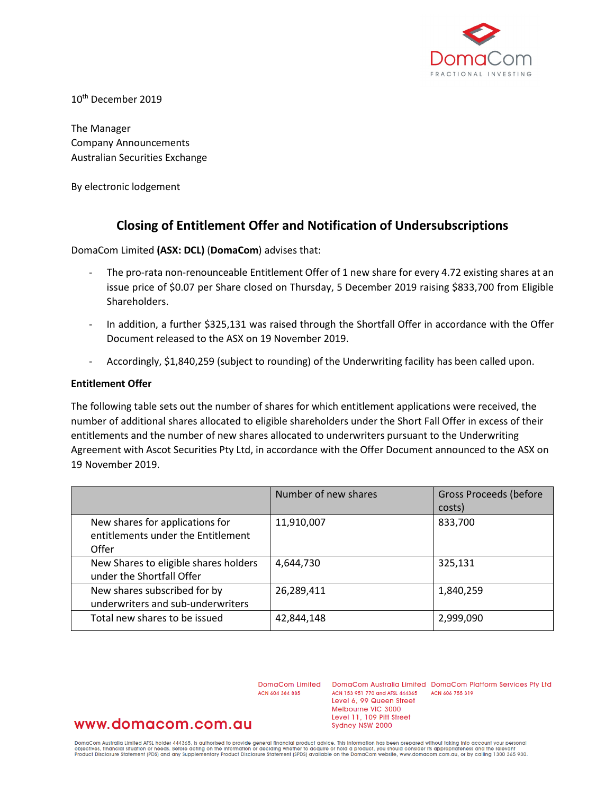

10th December 2019

The Manager Company Announcements Australian Securities Exchange

By electronic lodgement

# **Closing of Entitlement Offer and Notification of Undersubscriptions**

DomaCom Limited **(ASX: DCL)** (**DomaCom**) advises that:

- The pro-rata non-renounceable Entitlement Offer of 1 new share for every 4.72 existing shares at an issue price of \$0.07 per Share closed on Thursday, 5 December 2019 raising \$833,700 from Eligible Shareholders.
- In addition, a further \$325,131 was raised through the Shortfall Offer in accordance with the Offer Document released to the ASX on 19 November 2019.
- Accordingly, \$1,840,259 (subject to rounding) of the Underwriting facility has been called upon.

### **Entitlement Offer**

The following table sets out the number of shares for which entitlement applications were received, the number of additional shares allocated to eligible shareholders under the Short Fall Offer in excess of their entitlements and the number of new shares allocated to underwriters pursuant to the Underwriting Agreement with Ascot Securities Pty Ltd, in accordance with the Offer Document announced to the ASX on 19 November 2019.

|                                                                                | Number of new shares | <b>Gross Proceeds (before</b><br>costs) |
|--------------------------------------------------------------------------------|----------------------|-----------------------------------------|
| New shares for applications for<br>entitlements under the Entitlement<br>Offer | 11,910,007           | 833,700                                 |
| New Shares to eligible shares holders<br>under the Shortfall Offer             | 4,644,730            | 325,131                                 |
| New shares subscribed for by<br>underwriters and sub-underwriters              | 26,289,411           | 1,840,259                               |
| Total new shares to be issued                                                  | 42,844,148           | 2,999,090                               |

ACN 604 384 885

DomaCom Limited DomaCom Australia Limited DomaCom Platform Services Pty Ltd ACN 153 951 770 and AFSL 444365 ACN 606 755 319 Level 6, 99 Queen Street Melbourne VIC 3000 Level 11, 109 Pitt Street Sydney NSW 2000

## www.domacom.com.au

DomaCom Australia Limited AFSL holder 444365, is authorised to provide general financial product advice. This information has been prepared without taking into account your personal<br>objectives, financial situation or needs